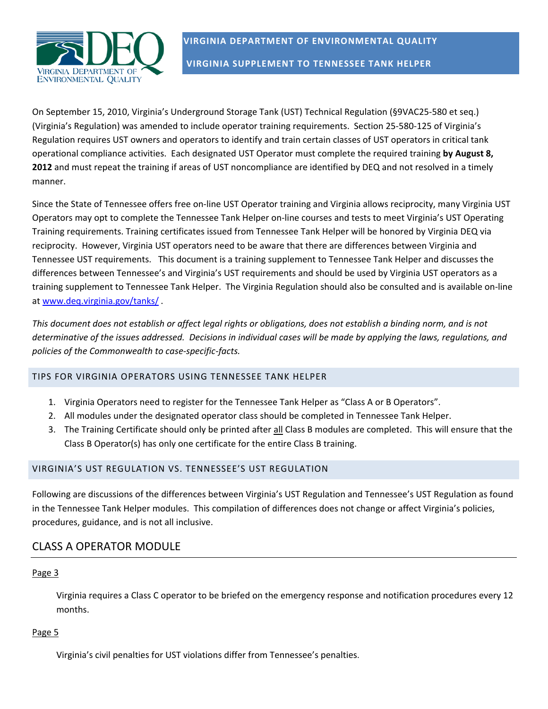

**VIRGINIA DEPARTMENT OF ENVIRONMENTAL QUALITY VIRGINIA SUPPLEMENT TO TENNESSEE TANK HELPER**

On September 15, 2010, Virginia's Underground Storage Tank (UST) Technical Regulation (§9VAC25‐580 et seq.) (Virginia's Regulation) was amended to include operator training requirements. Section 25‐580‐125 of Virginia's Regulation requires UST owners and operators to identify and train certain classes of UST operators in critical tank operational compliance activities. Each designated UST Operator must complete the required training **by August 8, 2012** and must repeat the training if areas of UST noncompliance are identified by DEQ and not resolved in a timely manner.

Since the State of Tennessee offers free on‐line UST Operator training and Virginia allows reciprocity, many Virginia UST Operators may opt to complete the Tennessee Tank Helper on‐line courses and tests to meet Virginia's UST Operating Training requirements. Training certificates issued from Tennessee Tank Helper will be honored by Virginia DEQ via reciprocity. However, Virginia UST operators need to be aware that there are differences between Virginia and Tennessee UST requirements. This document is a training supplement to Tennessee Tank Helper and discusses the differences between Tennessee's and Virginia's UST requirements and should be used by Virginia UST operators as a training supplement to Tennessee Tank Helper. The Virginia Regulation should also be consulted and is available on‐line at www.deq.virginia.gov/tanks/ .

This document does not establish or affect legal rights or obligations, does not establish a binding norm, and is not determinative of the issues addressed. Decisions in individual cases will be made by applying the laws, regulations, and *policies of the Commonwealth to case‐specific‐facts.*

## TIPS FOR VIRGINIA OPERATORS USING TENNESSEE TANK HELPER

- 1. Virginia Operators need to register for the Tennessee Tank Helper as "Class A or B Operators".
- 2. All modules under the designated operator class should be completed in Tennessee Tank Helper.
- 3. The Training Certificate should only be printed after all Class B modules are completed. This will ensure that the Class B Operator(s) has only one certificate for the entire Class B training.

#### VIRGINIA'S UST REGULATION VS. TENNESSEE'S UST REGULATION

Following are discussions of the differences between Virginia's UST Regulation and Tennessee's UST Regulation as found in the Tennessee Tank Helper modules. This compilation of differences does not change or affect Virginia's policies, procedures, guidance, and is not all inclusive.

## CLASS A OPERATOR MODULE

#### Page 3

Virginia requires a Class C operator to be briefed on the emergency response and notification procedures every 12 months.

#### Page 5

Virginia's civil penalties for UST violations differ from Tennessee's penalties.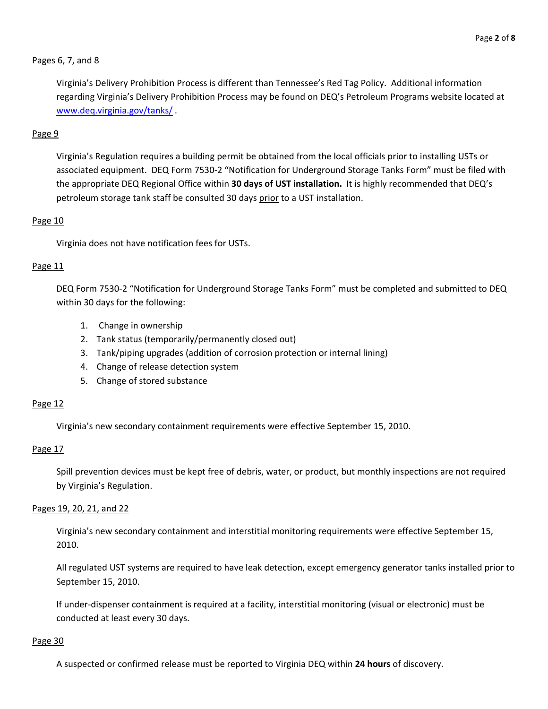## Pages 6, 7, and 8

Virginia's Delivery Prohibition Process is different than Tennessee's Red Tag Policy. Additional information regarding Virginia's Delivery Prohibition Process may be found on DEQ's Petroleum Programs website located at www.deq.virginia.gov/tanks/ .

#### Page 9

Virginia's Regulation requires a building permit be obtained from the local officials prior to installing USTs or associated equipment. DEQ Form 7530‐2 "Notification for Underground Storage Tanks Form" must be filed with the appropriate DEQ Regional Office within **30 days of UST installation.** It is highly recommended that DEQ's petroleum storage tank staff be consulted 30 days prior to a UST installation.

#### Page 10

Virginia does not have notification fees for USTs.

#### Page 11

DEQ Form 7530‐2 "Notification for Underground Storage Tanks Form" must be completed and submitted to DEQ within 30 days for the following:

- 1. Change in ownership
- 2. Tank status (temporarily/permanently closed out)
- 3. Tank/piping upgrades (addition of corrosion protection or internal lining)
- 4. Change of release detection system
- 5. Change of stored substance

#### Page 12

Virginia's new secondary containment requirements were effective September 15, 2010.

#### Page 17

Spill prevention devices must be kept free of debris, water, or product, but monthly inspections are not required by Virginia's Regulation.

#### Pages 19, 20, 21, and 22

Virginia's new secondary containment and interstitial monitoring requirements were effective September 15, 2010.

All regulated UST systems are required to have leak detection, except emergency generator tanks installed prior to September 15, 2010.

If under‐dispenser containment is required at a facility, interstitial monitoring (visual or electronic) must be conducted at least every 30 days.

#### Page 30

A suspected or confirmed release must be reported to Virginia DEQ within **24 hours** of discovery.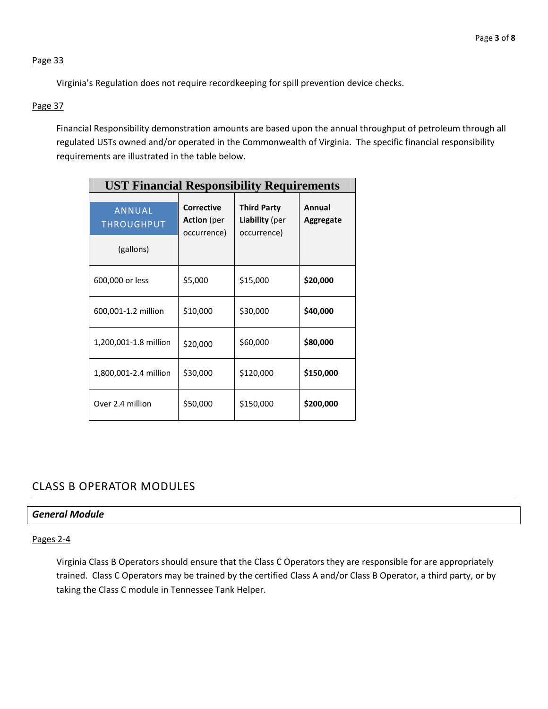Virginia's Regulation does not require recordkeeping for spill prevention device checks.

## Page 37

Financial Responsibility demonstration amounts are based upon the annual throughput of petroleum through all regulated USTs owned and/or operated in the Commonwealth of Virginia. The specific financial responsibility requirements are illustrated in the table below.

| <b>UST Financial Responsibility Requirements</b> |                                                        |                                                            |                     |
|--------------------------------------------------|--------------------------------------------------------|------------------------------------------------------------|---------------------|
| <b>ANNUAL</b><br><b>THROUGHPUT</b>               | <b>Corrective</b><br><b>Action</b> (per<br>occurrence) | <b>Third Party</b><br><b>Liability</b> (per<br>occurrence) | Annual<br>Aggregate |
| (gallons)                                        |                                                        |                                                            |                     |
| 600,000 or less                                  | \$5,000                                                | \$15,000                                                   | \$20,000            |
| 600,001-1.2 million                              | \$10,000                                               | \$30,000                                                   | \$40,000            |
| 1,200,001-1.8 million                            | \$20,000                                               | \$60,000                                                   | \$80,000            |
| 1,800,001-2.4 million                            | \$30,000                                               | \$120,000                                                  | \$150,000           |
| Over 2.4 million                                 | \$50,000                                               | \$150,000                                                  | \$200,000           |

# CLASS B OPERATOR MODULES

## *General Module*

Pages 2‐4

Virginia Class B Operators should ensure that the Class C Operators they are responsible for are appropriately trained. Class C Operators may be trained by the certified Class A and/or Class B Operator, a third party, or by taking the Class C module in Tennessee Tank Helper.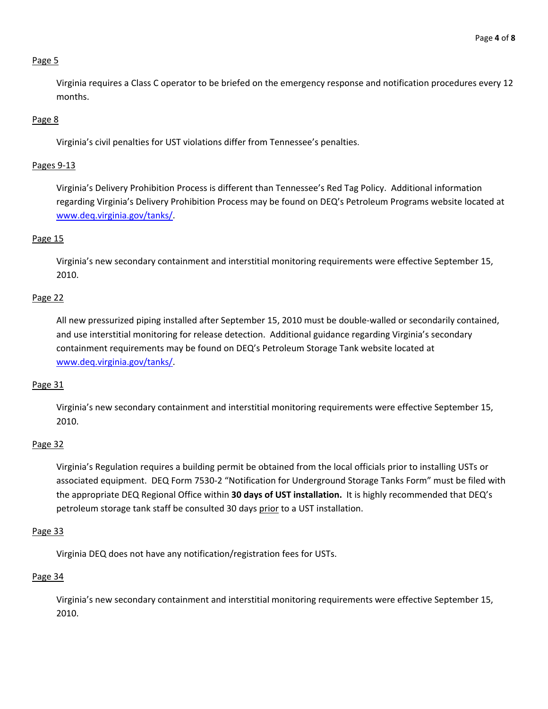Virginia requires a Class C operator to be briefed on the emergency response and notification procedures every 12 months.

#### Page 8

Virginia's civil penalties for UST violations differ from Tennessee's penalties.

#### Pages 9‐13

Virginia's Delivery Prohibition Process is different than Tennessee's Red Tag Policy. Additional information regarding Virginia's Delivery Prohibition Process may be found on DEQ's Petroleum Programs website located at www.deq.virginia.gov/tanks/.

#### Page 15

Virginia's new secondary containment and interstitial monitoring requirements were effective September 15, 2010.

#### Page 22

All new pressurized piping installed after September 15, 2010 must be double‐walled or secondarily contained, and use interstitial monitoring for release detection. Additional guidance regarding Virginia's secondary containment requirements may be found on DEQ's Petroleum Storage Tank website located at www.deq.virginia.gov/tanks/.

#### Page 31

Virginia's new secondary containment and interstitial monitoring requirements were effective September 15, 2010.

#### Page 32

Virginia's Regulation requires a building permit be obtained from the local officials prior to installing USTs or associated equipment. DEQ Form 7530‐2 "Notification for Underground Storage Tanks Form" must be filed with the appropriate DEQ Regional Office within **30 days of UST installation.** It is highly recommended that DEQ's petroleum storage tank staff be consulted 30 days prior to a UST installation.

#### Page 33

Virginia DEQ does not have any notification/registration fees for USTs.

#### Page 34

Virginia's new secondary containment and interstitial monitoring requirements were effective September 15, 2010.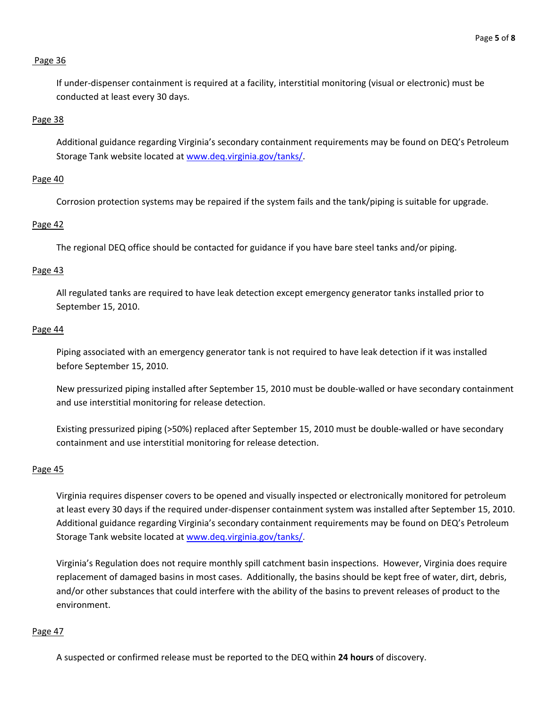If under‐dispenser containment is required at a facility, interstitial monitoring (visual or electronic) must be conducted at least every 30 days.

#### Page 38

Additional guidance regarding Virginia's secondary containment requirements may be found on DEQ's Petroleum Storage Tank website located at www.deq.virginia.gov/tanks/.

#### Page 40

Corrosion protection systems may be repaired if the system fails and the tank/piping is suitable for upgrade.

#### Page 42

The regional DEQ office should be contacted for guidance if you have bare steel tanks and/or piping.

#### Page 43

All regulated tanks are required to have leak detection except emergency generator tanks installed prior to September 15, 2010.

#### Page 44

Piping associated with an emergency generator tank is not required to have leak detection if it was installed before September 15, 2010.

New pressurized piping installed after September 15, 2010 must be double‐walled or have secondary containment and use interstitial monitoring for release detection.

Existing pressurized piping (>50%) replaced after September 15, 2010 must be double‐walled or have secondary containment and use interstitial monitoring for release detection.

#### Page 45

Virginia requires dispenser covers to be opened and visually inspected or electronically monitored for petroleum at least every 30 days if the required under‐dispenser containment system was installed after September 15, 2010. Additional guidance regarding Virginia's secondary containment requirements may be found on DEQ's Petroleum Storage Tank website located at www.deq.virginia.gov/tanks/.

Virginia's Regulation does not require monthly spill catchment basin inspections. However, Virginia does require replacement of damaged basins in most cases. Additionally, the basins should be kept free of water, dirt, debris, and/or other substances that could interfere with the ability of the basins to prevent releases of product to the environment.

#### Page 47

A suspected or confirmed release must be reported to the DEQ within **24 hours** of discovery.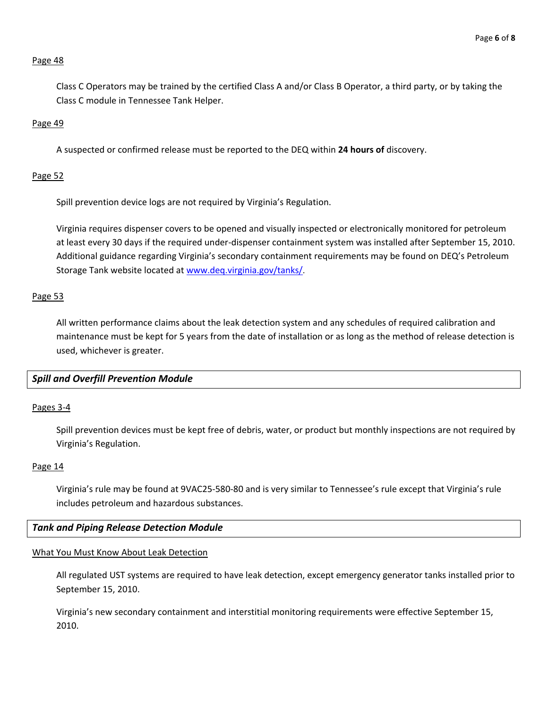Class C Operators may be trained by the certified Class A and/or Class B Operator, a third party, or by taking the Class C module in Tennessee Tank Helper.

## Page 49

A suspected or confirmed release must be reported to the DEQ within **24 hours of** discovery.

#### Page 52

Spill prevention device logs are not required by Virginia's Regulation.

Virginia requires dispenser covers to be opened and visually inspected or electronically monitored for petroleum at least every 30 days if the required under‐dispenser containment system was installed after September 15, 2010. Additional guidance regarding Virginia's secondary containment requirements may be found on DEQ's Petroleum Storage Tank website located at www.deq.virginia.gov/tanks/.

## Page 53

All written performance claims about the leak detection system and any schedules of required calibration and maintenance must be kept for 5 years from the date of installation or as long as the method of release detection is used, whichever is greater.

## *Spill and Overfill Prevention Module*

#### Pages 3‐4

Spill prevention devices must be kept free of debris, water, or product but monthly inspections are not required by Virginia's Regulation.

#### Page 14

Virginia's rule may be found at 9VAC25‐580‐80 and is very similar to Tennessee's rule except that Virginia's rule includes petroleum and hazardous substances.

#### *Tank and Piping Release Detection Module*

#### What You Must Know About Leak Detection

All regulated UST systems are required to have leak detection, except emergency generator tanks installed prior to September 15, 2010.

Virginia's new secondary containment and interstitial monitoring requirements were effective September 15, 2010.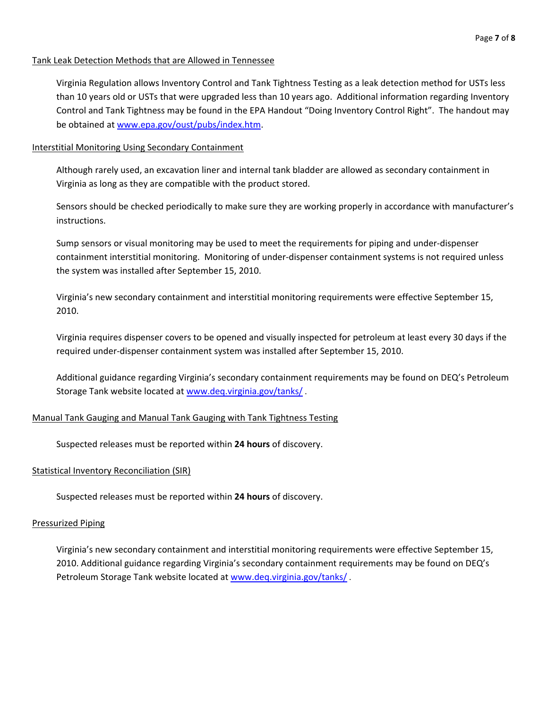#### Tank Leak Detection Methods that are Allowed in Tennessee

Virginia Regulation allows Inventory Control and Tank Tightness Testing as a leak detection method for USTs less than 10 years old or USTs that were upgraded less than 10 years ago. Additional information regarding Inventory Control and Tank Tightness may be found in the EPA Handout "Doing Inventory Control Right". The handout may be obtained at www.epa.gov/oust/pubs/index.htm.

#### Interstitial Monitoring Using Secondary Containment

Although rarely used, an excavation liner and internal tank bladder are allowed as secondary containment in Virginia as long as they are compatible with the product stored.

Sensors should be checked periodically to make sure they are working properly in accordance with manufacturer's instructions.

Sump sensors or visual monitoring may be used to meet the requirements for piping and under‐dispenser containment interstitial monitoring. Monitoring of under‐dispenser containment systems is not required unless the system was installed after September 15, 2010.

Virginia's new secondary containment and interstitial monitoring requirements were effective September 15, 2010.

Virginia requires dispenser covers to be opened and visually inspected for petroleum at least every 30 days if the required under‐dispenser containment system was installed after September 15, 2010.

Additional guidance regarding Virginia's secondary containment requirements may be found on DEQ's Petroleum Storage Tank website located at www.deq.virginia.gov/tanks/ .

#### Manual Tank Gauging and Manual Tank Gauging with Tank Tightness Testing

Suspected releases must be reported within **24 hours** of discovery.

#### Statistical Inventory Reconciliation (SIR)

Suspected releases must be reported within **24 hours** of discovery.

#### Pressurized Piping

Virginia's new secondary containment and interstitial monitoring requirements were effective September 15, 2010. Additional guidance regarding Virginia's secondary containment requirements may be found on DEQ's Petroleum Storage Tank website located at www.deq.virginia.gov/tanks/ .